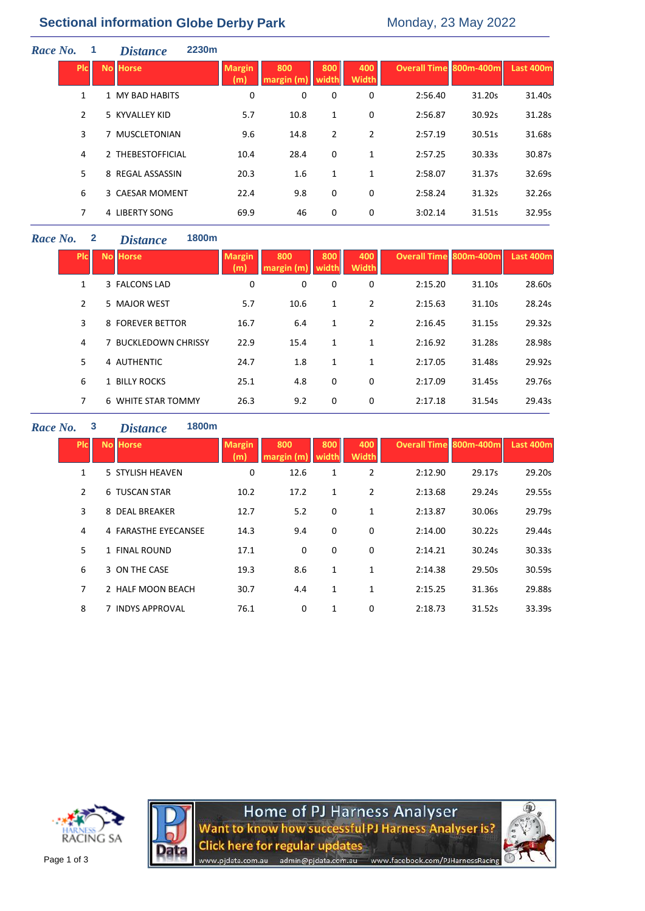# **Sectional information Globe Derby Park** Monday, 23 May 2022

| Race No. |              | <b>2230m</b><br><b>Distance</b> |                      |                  |                |                     |                               |        |           |
|----------|--------------|---------------------------------|----------------------|------------------|----------------|---------------------|-------------------------------|--------|-----------|
|          | <b>PIC</b>   | <b>No Horse</b>                 | <b>Margin</b><br>(m) | 800<br>margin(m) | 800<br>width   | 400<br><b>Width</b> | <b>Overall Time 800m-400m</b> |        | Last 400m |
|          | $\mathbf{1}$ | 1 MY BAD HABITS                 | 0                    | 0                | 0              | 0                   | 2:56.40                       | 31.20s | 31.40s    |
|          | 2            | 5 KYVALLEY KID                  | 5.7                  | 10.8             | 1              | 0                   | 2:56.87                       | 30.92s | 31.28s    |
|          | 3            | 7 MUSCLETONIAN                  | 9.6                  | 14.8             | $\overline{2}$ | 2                   | 2:57.19                       | 30.51s | 31.68s    |
|          | 4            | 2 THEBESTOFFICIAL               | 10.4                 | 28.4             | 0              | 1                   | 2:57.25                       | 30.33s | 30.87s    |
|          | 5.           | 8 REGAL ASSASSIN                | 20.3                 | 1.6              | 1              | 1                   | 2:58.07                       | 31.37s | 32.69s    |
|          | 6            | 3 CAESAR MOMENT                 | 22.4                 | 9.8              | 0              | 0                   | 2:58.24                       | 31.32s | 32.26s    |
|          | 7            | 4 LIBERTY SONG                  | 69.9                 | 46               | 0              | 0                   | 3:02.14                       | 31.51s | 32.95s    |
|          |              |                                 |                      |                  |                |                     |                               |        |           |

## *Race No.* **2** *Distance* **1800m**

| <b>Plc</b> | <b>No Horse</b>      | <b>Margin</b><br>(m) | 800<br>margin (m | 800 | 400<br><b>Width</b> | <b>Overall Time 800m-400m</b> |        | <b>Last 400m</b> |
|------------|----------------------|----------------------|------------------|-----|---------------------|-------------------------------|--------|------------------|
| 1          | 3 FALCONS LAD        | 0                    | 0                | 0   | 0                   | 2:15.20                       | 31.10s | 28.60s           |
| 2          | 5 MAJOR WEST         | 5.7                  | 10.6             | 1   | 2                   | 2:15.63                       | 31.10s | 28.24s           |
| 3          | 8 FOREVER BETTOR     | 16.7                 | 6.4              | 1   | 2                   | 2:16.45                       | 31.15s | 29.32s           |
| 4          | 7 BUCKLEDOWN CHRISSY | 22.9                 | 15.4             | 1   | $\mathbf{1}$        | 2:16.92                       | 31.28s | 28.98s           |
| 5          | 4 AUTHENTIC          | 24.7                 | 1.8              | 1   | $\mathbf{1}$        | 2:17.05                       | 31.48s | 29.92s           |
| 6          | 1 BILLY ROCKS        | 25.1                 | 4.8              | 0   | 0                   | 2:17.09                       | 31.45s | 29.76s           |
| 7          | 6 WHITE STAR TOMMY   | 26.3                 | 9.2              | 0   | 0                   | 2:17.18                       | 31.54s | 29.43s           |

### *Race No.* **3** *Distance* **1800m**

| <b>PIC</b> | <b>No Horse</b>      | <b>Margin</b> | 800<br>margin (m | 800<br>width | 400<br><b>Width</b> | <b>Overall Time 800m-400m</b> |        | Last 400m |
|------------|----------------------|---------------|------------------|--------------|---------------------|-------------------------------|--------|-----------|
| 1          | 5 STYLISH HEAVEN     | 0             | 12.6             | 1            | $\overline{2}$      | 2:12.90                       | 29.17s | 29.20s    |
| 2          | 6 TUSCAN STAR        | 10.2          | 17.2             | 1            | $\overline{2}$      | 2:13.68                       | 29.24s | 29.55s    |
| 3          | 8 DEAL BREAKER       | 12.7          | 5.2              | $\mathbf 0$  | $\mathbf 1$         | 2:13.87                       | 30.06s | 29.79s    |
| 4          | 4 FARASTHE EYECANSEE | 14.3          | 9.4              | $\mathbf 0$  | 0                   | 2:14.00                       | 30.22s | 29.44s    |
| 5          | 1 FINAL ROUND        | 17.1          | 0                | 0            | 0                   | 2:14.21                       | 30.24s | 30.33s    |
| 6          | 3 ON THE CASE        | 19.3          | 8.6              | $\mathbf{1}$ | 1                   | 2:14.38                       | 29.50s | 30.59s    |
| 7          | 2 HALF MOON BEACH    | 30.7          | 4.4              | 1            | 1                   | 2:15.25                       | 31.36s | 29.88s    |
| 8          | 7 INDYS APPROVAL     | 76.1          | 0                | 1            | 0                   | 2:18.73                       | 31.52s | 33.39s    |



Home of PJ Harness Analyser<br>Want to know how successful PJ Harness Analyser is? **Click here for regular updates** admin@pjdata.com.au www.facebook.com/PJHarnessRacing www.pidata.com.au

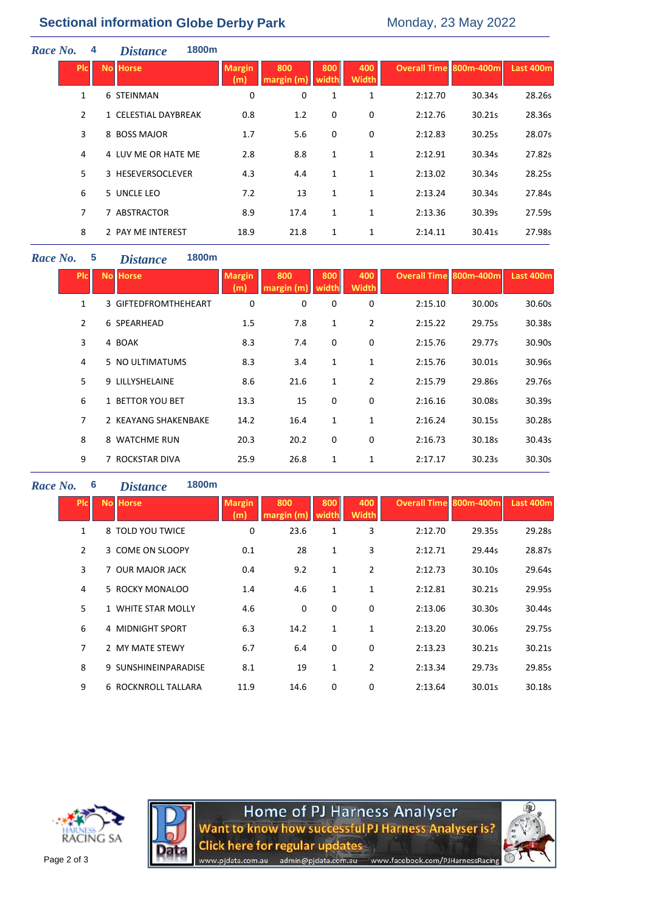# **Sectional information Globe Derby Park** Monday, 23 May 2022

| Race No. |                | 4 | 1800m<br><b>Distance</b> |                      |                  |              |                     |                        |        |           |
|----------|----------------|---|--------------------------|----------------------|------------------|--------------|---------------------|------------------------|--------|-----------|
|          | <b>PIC</b>     |   | <b>No Horse</b>          | <b>Margin</b><br>(m) | 800<br>margin(m) | 800<br>width | 400<br><b>Width</b> | Overall Time 800m-400m |        | Last 400m |
|          | 1              |   | 6 STEINMAN               | 0                    | 0                | 1            | 1                   | 2:12.70                | 30.34s | 28.26s    |
|          | $\overline{2}$ |   | 1 CELESTIAL DAYBREAK     | 0.8                  | 1.2              | 0            | 0                   | 2:12.76                | 30.21s | 28.36s    |
|          | 3              |   | 8 BOSS MAJOR             | 1.7                  | 5.6              | 0            | 0                   | 2:12.83                | 30.25s | 28.07s    |
|          | 4              |   | 4 LUV ME OR HATE ME      | 2.8                  | 8.8              | 1            | 1                   | 2:12.91                | 30.34s | 27.82s    |
|          | 5              |   | 3 HESEVERSOCLEVER        | 4.3                  | 4.4              | 1            | 1                   | 2:13.02                | 30.34s | 28.25s    |
|          | 6              |   | 5 UNCLE LEO              | 7.2                  | 13               | 1            | 1                   | 2:13.24                | 30.34s | 27.84s    |
|          | 7              |   | 7 ABSTRACTOR             | 8.9                  | 17.4             | 1            | 1                   | 2:13.36                | 30.39s | 27.59s    |
|          | 8              |   | 2 PAY ME INTEREST        | 18.9                 | 21.8             | 1            | 1                   | 2:14.11                | 30.41s | 27.98s    |
|          |                |   |                          |                      |                  |              |                     |                        |        |           |

## *Race No.* **5** *Distance* **1800m**

| <b>Picil</b>   | <b>No Horse</b> |                      | <b>Margin</b><br>(m) | 800<br>margin (m) | 800<br>width | 400<br><b>Width</b> | <b>Overall Time 800m-400m</b> |        | Last 400m |
|----------------|-----------------|----------------------|----------------------|-------------------|--------------|---------------------|-------------------------------|--------|-----------|
| 1              |                 | 3 GIFTEDFROMTHEHEART | 0                    | 0                 | 0            | 0                   | 2:15.10                       | 30.00s | 30.60s    |
| $\overline{2}$ | 6 SPEARHEAD     |                      | 1.5                  | 7.8               | 1            | $\overline{2}$      | 2:15.22                       | 29.75s | 30.38s    |
| 3              | 4 BOAK          |                      | 8.3                  | 7.4               | 0            | 0                   | 2:15.76                       | 29.77s | 30.90s    |
| 4              |                 | 5 NO ULTIMATUMS      | 8.3                  | 3.4               | 1            | 1                   | 2:15.76                       | 30.01s | 30.96s    |
| 5              | 9 LILLYSHELAINE |                      | 8.6                  | 21.6              | $\mathbf{1}$ | $\overline{2}$      | 2:15.79                       | 29.86s | 29.76s    |
| 6              |                 | 1 BETTOR YOU BET     | 13.3                 | 15                | 0            | 0                   | 2:16.16                       | 30.08s | 30.39s    |
| 7              |                 | 2 KEAYANG SHAKENBAKE | 14.2                 | 16.4              | $\mathbf{1}$ | 1                   | 2:16.24                       | 30.15s | 30.28s    |
| 8              |                 | 8 WATCHME RUN        | 20.3                 | 20.2              | $\mathbf 0$  | 0                   | 2:16.73                       | 30.18s | 30.43s    |
| 9              |                 | 7 ROCKSTAR DIVA      | 25.9                 | 26.8              | 1            | 1                   | 2:17.17                       | 30.23s | 30.30s    |

## *Race No.* **6** *Distance* **1800m**

| <b>Picil</b>   | <b>No Horse</b>      | <b>Margin</b> | 800<br>margin (m | 800<br>width | 400<br><b>Width</b> | <b>Overall Time 800m-400m</b> |        | Last 400m |
|----------------|----------------------|---------------|------------------|--------------|---------------------|-------------------------------|--------|-----------|
| $\mathbf{1}$   | 8 TOLD YOU TWICE     | 0             | 23.6             | 1            | 3                   | 2:12.70                       | 29.35s | 29.28s    |
| $\overline{2}$ | 3 COME ON SLOOPY     | 0.1           | 28               | 1            | 3                   | 2:12.71                       | 29.44s | 28.87s    |
| 3              | 7 OUR MAJOR JACK     | 0.4           | 9.2              | 1            | $\overline{2}$      | 2:12.73                       | 30.10s | 29.64s    |
| 4              | 5 ROCKY MONALOO      | 1.4           | 4.6              | 1            | 1                   | 2:12.81                       | 30.21s | 29.95s    |
| 5              | 1 WHITE STAR MOLLY   | 4.6           | $\Omega$         | 0            | 0                   | 2:13.06                       | 30.30s | 30.44s    |
| 6              | 4 MIDNIGHT SPORT     | 6.3           | 14.2             | 1            | 1                   | 2:13.20                       | 30.06s | 29.75s    |
| 7              | 2 MY MATE STEWY      | 6.7           | 6.4              | 0            | 0                   | 2:13.23                       | 30.21s | 30.21s    |
| 8              | 9 SUNSHINEINPARADISE | 8.1           | 19               | 1            | $\overline{2}$      | 2:13.34                       | 29.73s | 29.85s    |
| 9              | 6 ROCKNROLL TALLARA  | 11.9          | 14.6             | 0            | 0                   | 2:13.64                       | 30.01s | 30.18s    |





Home of PJ Harness Analyser<br>Want to know how successful PJ Harness Analyser is? **Click here for regular updates** admin@pjdata.com.au www.facebook.com/PJHarnessRacing www.pjdata.com.au